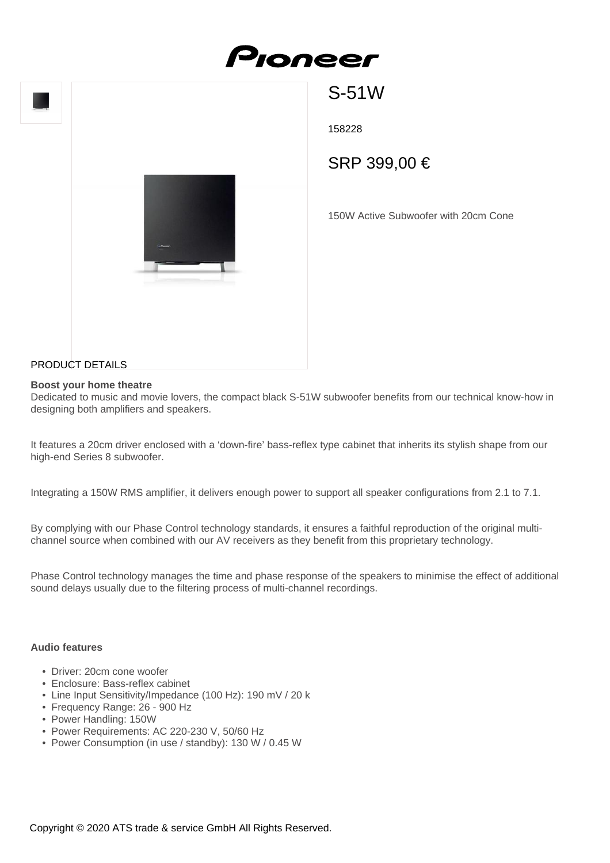

S-51W

158228

SRP 399,00 €

150W Active Subwoofer with 20cm Cone

## PRODUCT DETAILS

#### **Boost your home theatre**

Dedicated to music and movie lovers, the compact black S-51W subwoofer benefits from our technical know-how in designing both amplifiers and speakers.

It features a 20cm driver enclosed with a 'down-fire' bass-reflex type cabinet that inherits its stylish shape from our high-end Series 8 subwoofer.

Integrating a 150W RMS amplifier, it delivers enough power to support all speaker configurations from 2.1 to 7.1.

By complying with our Phase Control technology standards, it ensures a faithful reproduction of the original multichannel source when combined with our AV receivers as they benefit from this proprietary technology.

Phase Control technology manages the time and phase response of the speakers to minimise the effect of additional sound delays usually due to the filtering process of multi-channel recordings.

#### **Audio features**

- Driver: 20cm cone woofer
- Enclosure: Bass-reflex cabinet
- Line Input Sensitivity/Impedance (100 Hz): 190 mV / 20 k
- Frequency Range: 26 900 Hz
- Power Handling: 150W
- Power Requirements: AC 220-230 V, 50/60 Hz
- Power Consumption (in use / standby): 130 W / 0.45 W